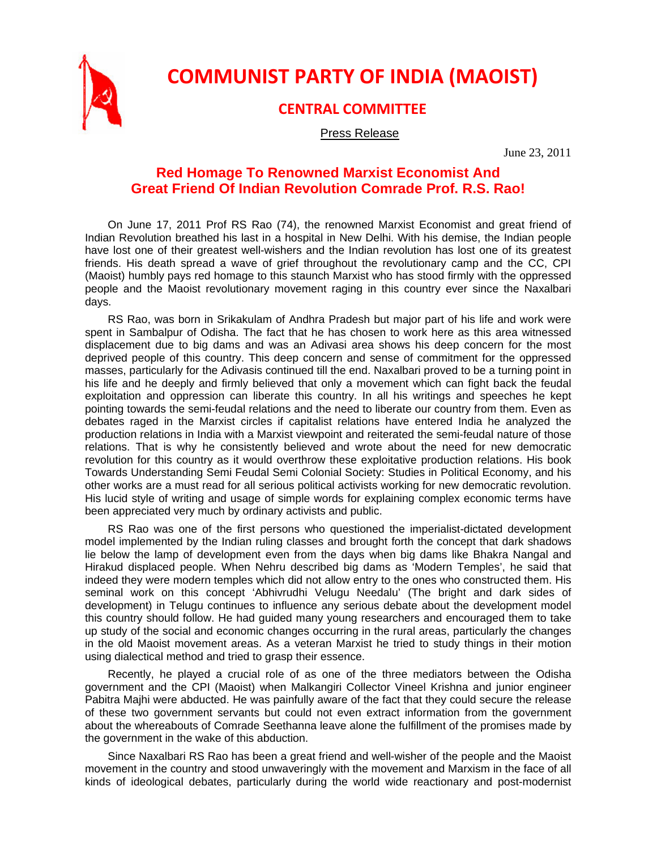

**COMMUNIST PARTY OF INDIA (MAOIST)**

## **CENTRAL COMMITTEE**

## Press Release

June 23, 2011

## **Red Homage To Renowned Marxist Economist And Great Friend Of Indian Revolution Comrade Prof. R.S. Rao!**

On June 17, 2011 Prof RS Rao (74), the renowned Marxist Economist and great friend of Indian Revolution breathed his last in a hospital in New Delhi. With his demise, the Indian people have lost one of their greatest well-wishers and the Indian revolution has lost one of its greatest friends. His death spread a wave of grief throughout the revolutionary camp and the CC, CPI (Maoist) humbly pays red homage to this staunch Marxist who has stood firmly with the oppressed people and the Maoist revolutionary movement raging in this country ever since the Naxalbari days.

RS Rao, was born in Srikakulam of Andhra Pradesh but major part of his life and work were spent in Sambalpur of Odisha. The fact that he has chosen to work here as this area witnessed displacement due to big dams and was an Adivasi area shows his deep concern for the most deprived people of this country. This deep concern and sense of commitment for the oppressed masses, particularly for the Adivasis continued till the end. Naxalbari proved to be a turning point in his life and he deeply and firmly believed that only a movement which can fight back the feudal exploitation and oppression can liberate this country. In all his writings and speeches he kept pointing towards the semi-feudal relations and the need to liberate our country from them. Even as debates raged in the Marxist circles if capitalist relations have entered India he analyzed the production relations in India with a Marxist viewpoint and reiterated the semi-feudal nature of those relations. That is why he consistently believed and wrote about the need for new democratic revolution for this country as it would overthrow these exploitative production relations. His book Towards Understanding Semi Feudal Semi Colonial Society: Studies in Political Economy, and his other works are a must read for all serious political activists working for new democratic revolution. His lucid style of writing and usage of simple words for explaining complex economic terms have been appreciated very much by ordinary activists and public.

RS Rao was one of the first persons who questioned the imperialist-dictated development model implemented by the Indian ruling classes and brought forth the concept that dark shadows lie below the lamp of development even from the days when big dams like Bhakra Nangal and Hirakud displaced people. When Nehru described big dams as 'Modern Temples', he said that indeed they were modern temples which did not allow entry to the ones who constructed them. His seminal work on this concept 'Abhivrudhi Velugu Needalu' (The bright and dark sides of development) in Telugu continues to influence any serious debate about the development model this country should follow. He had guided many young researchers and encouraged them to take up study of the social and economic changes occurring in the rural areas, particularly the changes in the old Maoist movement areas. As a veteran Marxist he tried to study things in their motion using dialectical method and tried to grasp their essence.

Recently, he played a crucial role of as one of the three mediators between the Odisha government and the CPI (Maoist) when Malkangiri Collector Vineel Krishna and junior engineer Pabitra Majhi were abducted. He was painfully aware of the fact that they could secure the release of these two government servants but could not even extract information from the government about the whereabouts of Comrade Seethanna leave alone the fulfillment of the promises made by the government in the wake of this abduction.

Since Naxalbari RS Rao has been a great friend and well-wisher of the people and the Maoist movement in the country and stood unwaveringly with the movement and Marxism in the face of all kinds of ideological debates, particularly during the world wide reactionary and post-modernist